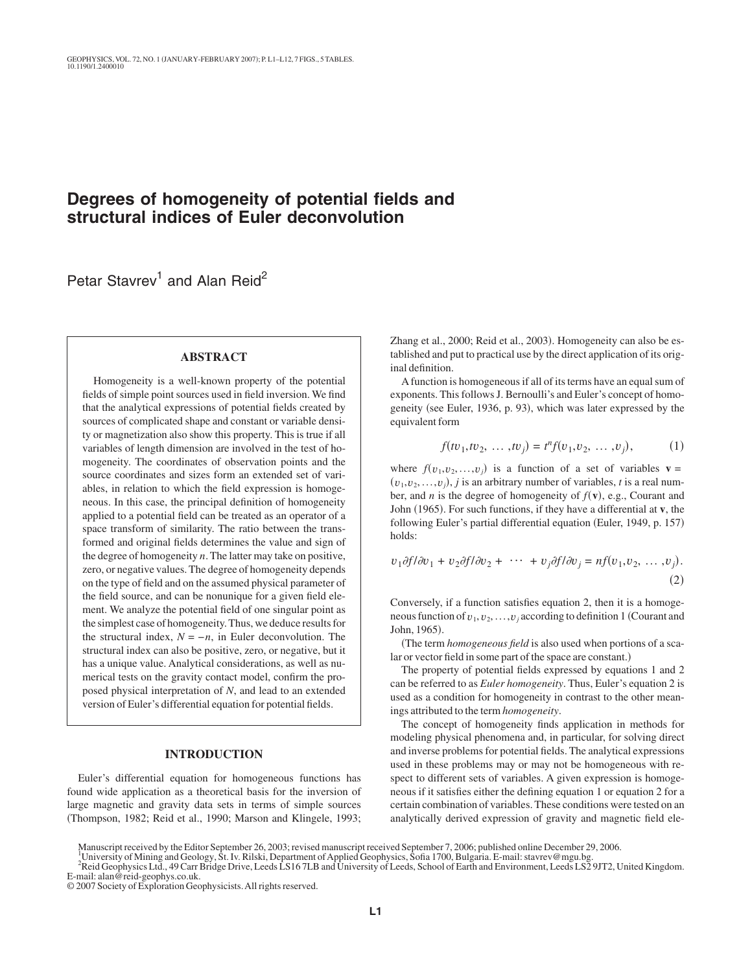# **Degrees of homogeneity of potential fields and structural indices of Euler deconvolution**

Petar Stavrev<sup>1</sup> and Alan Reid<sup>2</sup>

## **ABSTRACT**

Homogeneity is a well-known property of the potential fields of simple point sources used in field inversion. We find that the analytical expressions of potential fields created by sources of complicated shape and constant or variable density or magnetization also show this property. This is true if all variables of length dimension are involved in the test of homogeneity. The coordinates of observation points and the source coordinates and sizes form an extended set of variables, in relation to which the field expression is homogeneous. In this case, the principal definition of homogeneity applied to a potential field can be treated as an operator of a space transform of similarity. The ratio between the transformed and original fields determines the value and sign of the degree of homogeneity *n*. The latter may take on positive, zero, or negative values. The degree of homogeneity depends on the type of field and on the assumed physical parameter of the field source, and can be nonunique for a given field element. We analyze the potential field of one singular point as the simplest case of homogeneity. Thus, we deduce results for the structural index,  $N = -n$ , in Euler deconvolution. The structural index can also be positive, zero, or negative, but it has a unique value. Analytical considerations, as well as numerical tests on the gravity contact model, confirm the proposed physical interpretation of *N*, and lead to an extended version of Euler's differential equation for potential fields.

#### **INTRODUCTION**

Euler's differential equation for homogeneous functions has found wide application as a theoretical basis for the inversion of large magnetic and gravity data sets in terms of simple sources Thompson, 1982; Reid et al., 1990; Marson and Klingele, 1993;

Zhang et al., 2000; Reid et al., 2003). Homogeneity can also be established and put to practical use by the direct application of its original definition.

A function is homogeneous if all of its terms have an equal sum of exponents. This follows J. Bernoulli's and Euler's concept of homogeneity (see Euler, 1936, p. 93), which was later expressed by the equivalent form

$$
f(tv_1, tv_2, \dots, tv_j) = t^n f(v_1, v_2, \dots, v_j), \tag{1}
$$

where  $f(v_1, v_2, \ldots, v_j)$  is a function of a set of variables **v** =  $(v_1, v_2, \ldots, v_j)$ , *j* is an arbitrary number of variables, *t* is a real number, and *n* is the degree of homogeneity of  $f(\mathbf{v})$ , e.g., Courant and John (1965). For such functions, if they have a differential at **v**, the following Euler's partial differential equation (Euler, 1949, p. 157) holds:

$$
v_1 \partial f/\partial v_1 + v_2 \partial f/\partial v_2 + \cdots + v_j \partial f/\partial v_j = n f(v_1, v_2, \dots, v_j).
$$
\n(2)

Conversely, if a function satisfies equation 2, then it is a homogeneous function of  $v_1, v_2, \ldots, v_j$  according to definition 1 (Courant and John, 1965).

The term *homogeneous field* is also used when portions of a scalar or vector field in some part of the space are constant.)

The property of potential fields expressed by equations 1 and 2 can be referred to as *Euler homogeneity*. Thus, Euler's equation 2 is used as a condition for homogeneity in contrast to the other meanings attributed to the term *homogeneity*.

The concept of homogeneity finds application in methods for modeling physical phenomena and, in particular, for solving direct and inverse problems for potential fields. The analytical expressions used in these problems may or may not be homogeneous with respect to different sets of variables. A given expression is homogeneous if it satisfies either the defining equation 1 or equation 2 for a certain combination of variables. These conditions were tested on an analytically derived expression of gravity and magnetic field ele-

Manuscript received by the Editor September 26, 2003; revised manuscript received September 7, 2006; published online December 29, 2006.

<sup>1&</sup>lt;br>University of Mining and Geology, St. Iv. Rilski, Department of Applied Geophysics, Sofia 1700, Bulgaria. E-mail: stavrev@mgu.bg.<br><sup>2</sup>Reid Geophysics Ltd., 49 Carr Bridge Drive, Leeds LS16 7LB and University of Leeds, Sch E-mail: alan@reid-geophys.co.uk.

<sup>© 2007</sup> Society of Exploration Geophysicists.All rights reserved.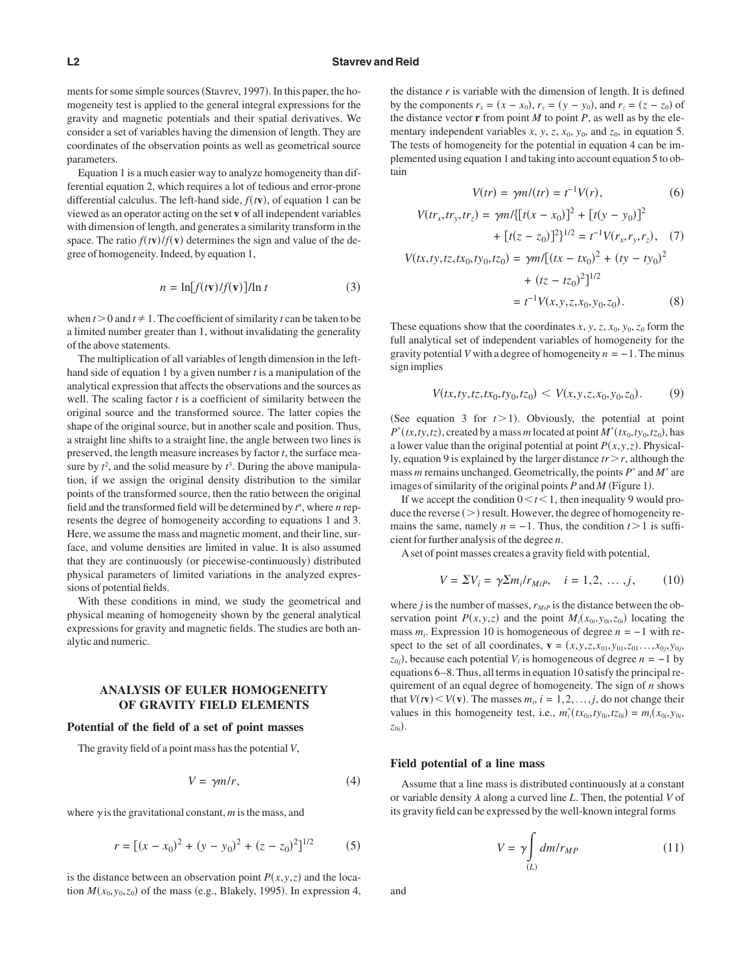ments for some simple sources (Stavrev, 1997). In this paper, the homogeneity test is applied to the general integral expressions for the gravity and magnetic potentials and their spatial derivatives. We consider a set of variables having the dimension of length. They are coordinates of the observation points as well as geometrical source parameters.

Equation 1 is a much easier way to analyze homogeneity than differential equation 2, which requires a lot of tedious and error-prone differential calculus. The left-hand side,  $f(tv)$ , of equation 1 can be viewed as an operator acting on the set **v** of all independent variables with dimension of length, and generates a similarity transform in the space. The ratio  $f(t\mathbf{v})/f(\mathbf{v})$  determines the sign and value of the degree of homogeneity. Indeed, by equation 1,

$$
n = \ln[f(t\mathbf{v})/f(\mathbf{v})]/\ln t \tag{3}
$$

when  $t > 0$  and  $t \ne 1$ . The coefficient of similarity *t* can be taken to be a limited number greater than 1, without invalidating the generality of the above statements.

The multiplication of all variables of length dimension in the lefthand side of equation 1 by a given number *t* is a manipulation of the analytical expression that affects the observations and the sources as well. The scaling factor *t* is a coefficient of similarity between the original source and the transformed source. The latter copies the shape of the original source, but in another scale and position. Thus, a straight line shifts to a straight line, the angle between two lines is preserved, the length measure increases by factor *t*, the surface measure by  $t^2$ , and the solid measure by  $t^3$ . During the above manipulation, if we assign the original density distribution to the similar points of the transformed source, then the ratio between the original field and the transformed field will be determined by *t n* , where *n* represents the degree of homogeneity according to equations 1 and 3. Here, we assume the mass and magnetic moment, and their line, surface, and volume densities are limited in value. It is also assumed that they are continuously (or piecewise-continuously) distributed physical parameters of limited variations in the analyzed expressions of potential fields.

With these conditions in mind, we study the geometrical and physical meaning of homogeneity shown by the general analytical expressions for gravity and magnetic fields. The studies are both analytic and numeric.

### **ANALYSIS OF EULER HOMOGENEITY OF GRAVITY FIELD ELEMENTS**

#### **Potential of the field of a set of point masses**

The gravity field of a point mass has the potential *V*,

$$
V = \gamma m/r, \tag{4}
$$

where  $\gamma$  is the gravitational constant,  $m$  is the mass, and

$$
r = [(x - x_0)^2 + (y - y_0)^2 + (z - z_0)^2]^{1/2}
$$
 (5)

is the distance between an observation point  $P(x, y, z)$  and the location  $M(x_0, y_0, z_0)$  of the mass (e.g., Blakely, 1995). In expression 4, the distance  $r$  is variable with the dimension of length. It is defined by the components  $r_x = (x - x_0), r_y = (y - y_0),$  and  $r_z = (z - z_0)$  of the distance vector  $\mathbf r$  from point  $M$  to point  $P$ , as well as by the elementary independent variables  $x$ ,  $y$ ,  $z$ ,  $x_0$ ,  $y_0$ , and  $z_0$ , in equation 5. The tests of homogeneity for the potential in equation 4 can be implemented using equation 1 and taking into account equation 5 to obtain

$$
V(tr) = \gamma m/(tr) = t^{-1}V(r), \qquad (6)
$$

$$
V(tr_x, tr_y, tr_z) = \gamma m / [(t(x - x_0)]^2 + [t(y - y_0)]^2
$$
  
+ 
$$
[t(z - z_0)]^2 \}^{1/2} = t^{-1} V(r_x, r_y, r_z), \quad (7)
$$
  

$$
V(tx, ty, tz, tx_0, ty_0, tz_0) = \gamma m / [(tx - tx_0)^2 + (ty - ty_0)^2
$$
  
+ 
$$
(tz - tz_0)^2]^{1/2}
$$
  
= 
$$
t^{-1} V(x, y, z, x_0, y_0, z_0).
$$
 (8)

These equations show that the coordinates *x*, *y*, *z*,  $x_0$ ,  $y_0$ ,  $z_0$  form the full analytical set of independent variables of homogeneity for the gravity potential *V* with a degree of homogeneity  $n = -1$ . The minus sign implies

$$
V(tx, ty, tz, tx_0, ty_0, tz_0) < V(x, y, z, x_0, y_0, z_0). \tag{9}
$$

(See equation 3 for  $t > 1$ ). Obviously, the potential at point  $P^*(tx, ty, tz)$ , created by a mass *m* located at point  $M^*(tx_0, ty_0, tz_0)$ , has a lower value than the original potential at point  $P(x, y, z)$ . Physically, equation 9 is explained by the larger distance *trr*, although the mass *m* remains unchanged. Geometrically, the points *P*\* and *M*\* are images of similarity of the original points  $P$  and  $M$  (Figure 1).

If we accept the condition  $0 < t < 1$ , then inequality 9 would produce the reverse  $(>)$  result. However, the degree of homogeneity remains the same, namely  $n = -1$ . Thus, the condition  $t > 1$  is sufficient for further analysis of the degree *n*.

A set of point masses creates a gravity field with potential,

$$
V = \Sigma V_i = \gamma \Sigma m_i / r_{MiP}, \quad i = 1, 2, \dots, j, \tag{10}
$$

where *j* is the number of masses,  $r_{MIP}$  is the distance between the observation point  $P(x, y, z)$  and the point  $M_i(x_{0i}, y_{0i}, z_{0i})$  locating the mass  $m_i$ . Expression 10 is homogeneous of degree  $n = -1$  with respect to the set of all coordinates,  $\mathbf{v} = (x, y, z, x_{01}, y_{01}, z_{01}, \dots, x_{0j}, y_{0j}, z_{0j})$  $(z_{0j})$ , because each potential *V<sub>i</sub>* is homogeneous of degree *n* = −1 by equations 6–8. Thus, all terms in equation 10 satisfy the principal requirement of an equal degree of homogeneity. The sign of *n* shows that  $V(t\mathbf{v}) < V(\mathbf{v})$ . The masses  $m_i$ ,  $i = 1, 2, ..., j$ , do not change their values in this homogeneity test, i.e.,  $m_i^*(tx_{0i}, ty_{0i}, tz_{0i}) = m_i(x_{0i}, y_{0i},$ *z*0*i*-.

#### **Field potential of a line mass**

Assume that a line mass is distributed continuously at a constant or variable density  $\lambda$  along a curved line *L*. Then, the potential *V* of its gravity field can be expressed by the well-known integral forms

$$
V = \gamma \int_{(L)} dm/r_{MP}
$$
 (11)

and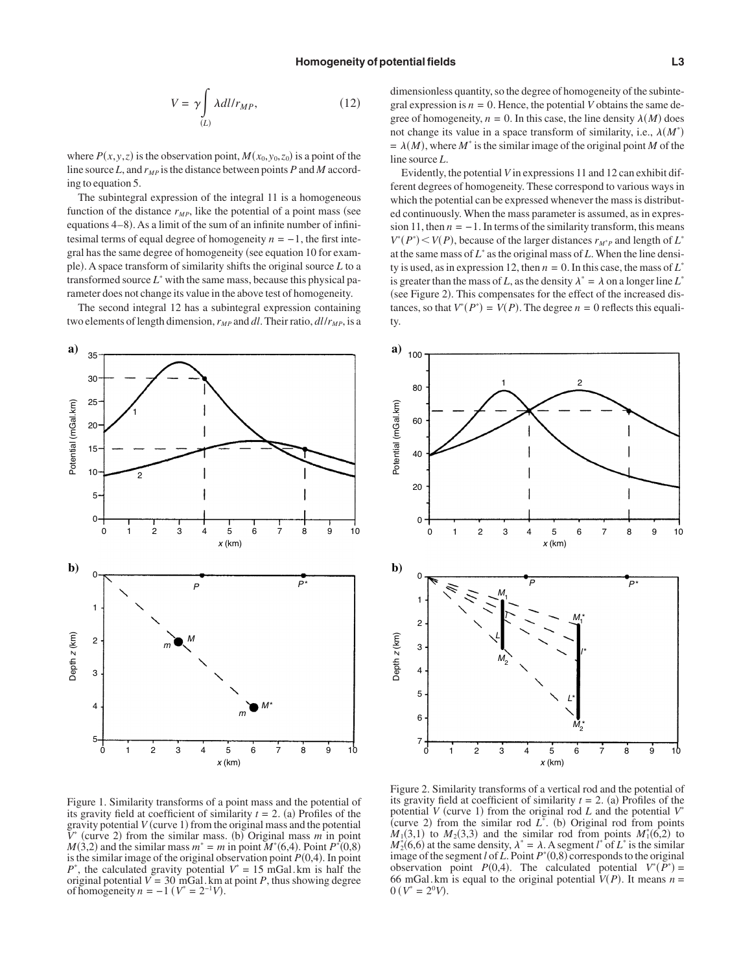$$
V = \gamma \int_{(L)} \lambda dl / r_{MP}, \qquad (12)
$$

where  $P(x, y, z)$  is the observation point,  $M(x_0, y_0, z_0)$  is a point of the line source  $L$ , and  $r_{MP}$  is the distance between points  $P$  and  $M$  according to equation 5.

The subintegral expression of the integral 11 is a homogeneous function of the distance  $r_{MP}$ , like the potential of a point mass (see equations 4–8). As a limit of the sum of an infinite number of infinitesimal terms of equal degree of homogeneity  $n = -1$ , the first integral has the same degree of homogeneity (see equation 10 for example). A space transform of similarity shifts the original source *L* to a transformed source *L*\* with the same mass, because this physical parameter does not change its value in the above test of homogeneity.

The second integral 12 has a subintegral expression containing two elements of length dimension,  $r_{MP}$  and *dl*. Their ratio,  $dl/r_{MP}$ , is a



dimensionless quantity, so the degree of homogeneity of the subintegral expression is  $n = 0$ . Hence, the potential *V* obtains the same degree of homogeneity,  $n = 0$ . In this case, the line density  $\lambda(M)$  does not change its value in a space transform of similarity, i.e.,  $\lambda(M^*)$  $= \lambda(M)$ , where *M*<sup>\*</sup> is the similar image of the original point *M* of the line source *L*.

Evidently, the potential *V* in expressions 11 and 12 can exhibit different degrees of homogeneity. These correspond to various ways in which the potential can be expressed whenever the mass is distributed continuously. When the mass parameter is assumed, as in expression 11, then  $n = -1$ . In terms of the similarity transform, this means  $V^*(P^*)$  < *V*(*P*), because of the larger distances  $r_{M^*P}$  and length of  $L^*$ at the same mass of *L*\* as the original mass of *L*.When the line density is used, as in expression 12, then  $n = 0$ . In this case, the mass of  $L^*$ is greater than the mass of *L*, as the density  $\lambda^* = \lambda$  on a longer line  $L^*$ (see Figure 2). This compensates for the effect of the increased distances, so that  $V^*(P^*) = V(P)$ . The degree  $n = 0$  reflects this equality.



Figure 1. Similarity transforms of a point mass and the potential of its gravity field at coefficient of similarity  $t = 2$ . (a) Profiles of the gravity potential  $V$  (curve 1) from the original mass and the potential  $V^*$  (curve 2) from the similar mass. (b) Original mass  $m$  in point  $M(3,2)$  and the similar mass  $m^* = m$  in point  $M^*(6,4)$ . Point  $P^*(0,8)$ is the similar image of the original observation point  $P(0,4)$ . In point  $P^*$ , the calculated gravity potential  $V^* = 15$  mGal. km is half the original potential  $V = 30$  mGal. km at point *P*, thus showing degree of homogeneity  $n = -1$  ( $V^* = 2^{-1}V$ ).

Figure 2. Similarity transforms of a vertical rod and the potential of its gravity field at coefficient of similarity  $t = 2$ . (a) Profiles of the potential *V* (curve 1) from the original rod *L* and the potential  $V^*$ (curve 2) from the similar rod  $L^*$ . (b) Original rod from points  $M_1(3,1)$  to  $M_2(3,3)$  and the similar rod from points  $M_1^*(6,2)$  to  $M_2^*(6,6)$  at the same density,  $\lambda^* = \lambda$ . A segment *l*<sup>\*</sup> of *L*<sup>\*</sup> is the similar image of the segment *l* of *L*. Point  $P^*(0,8)$  corresponds to the original observation point  $P(0,4)$ . The calculated potential  $V^*(\overline{P}^*) =$ 66 mGal. km is equal to the original potential  $V(P)$ . It means  $n =$  $0 (V^* = 2^0 V).$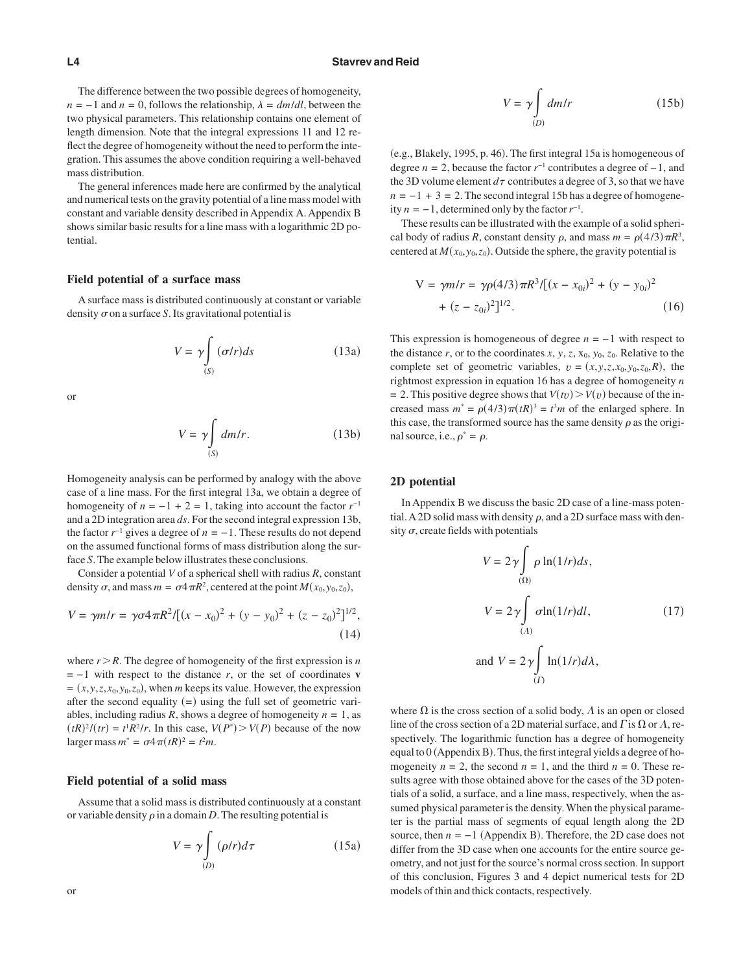The difference between the two possible degrees of homogeneity,  $n = -1$  and  $n = 0$ , follows the relationship,  $\lambda = dm/dl$ , between the two physical parameters. This relationship contains one element of length dimension. Note that the integral expressions 11 and 12 reflect the degree of homogeneity without the need to perform the integration. This assumes the above condition requiring a well-behaved mass distribution.

The general inferences made here are confirmed by the analytical and numerical tests on the gravity potential of a line mass model with constant and variable density described in Appendix A. Appendix B shows similar basic results for a line mass with a logarithmic 2D potential.

#### **Field potential of a surface mass**

A surface mass is distributed continuously at constant or variable density  $\sigma$  on a surface *S*. Its gravitational potential is

$$
V = \gamma \int_{(S)} (\sigma/r) ds \tag{13a}
$$

or

$$
V = \gamma \int_{(S)} dm/r.
$$
 (13b)

Homogeneity analysis can be performed by analogy with the above case of a line mass. For the first integral 13a, we obtain a degree of homogeneity of  $n = -1 + 2 = 1$ , taking into account the factor  $r^{-1}$ and a 2D integration area *ds*. For the second integral expression 13b, the factor  $r^{-1}$  gives a degree of  $n = -1$ . These results do not depend on the assumed functional forms of mass distribution along the surface *S*. The example below illustrates these conclusions.

Consider a potential *V* of a spherical shell with radius *R*, constant density  $\sigma$ , and mass  $m = \sigma 4 \pi R^2$ , centered at the point  $M(x_0, y_0, z_0)$ ,

$$
V = \gamma m/r = \gamma \sigma 4 \pi R^2 / [(x - x_0)^2 + (y - y_0)^2 + (z - z_0)^2]^{1/2},
$$
\n(14)

where  $r > R$ . The degree of homogeneity of the first expression is *n*  $= -1$  with respect to the distance *r*, or the set of coordinates **v**  $=(x, y, z, x_0, y_0, z_0)$ , when *m* keeps its value. However, the expression after the second equality  $(=)$  using the full set of geometric variables, including radius *R*, shows a degree of homogeneity  $n = 1$ , as  $(tR)^2/(tr) = t^1R^2/r$ . In this case,  $V(P^*) > V(P)$  because of the now larger mass  $m^* = \sigma 4 \pi (tR)^2 = t^2 m$ .

#### **Field potential of a solid mass**

Assume that a solid mass is distributed continuously at a constant or variable density  $\rho$  in a domain *D*. The resulting potential is

$$
V = \gamma \int_{(D)} (\rho/r) d\tau
$$
 (15a)

$$
V = \gamma \int_{(D)} dm/r
$$
 (15b)

(e.g., Blakely, 1995, p. 46). The first integral 15a is homogeneous of degree *n* = 2, because the factor *r*−1 contributes a degree of −1, and the 3D volume element  $d\tau$  contributes a degree of 3, so that we have  $n = -1 + 3 = 2$ . The second integral 15b has a degree of homogeneity  $n = -1$ , determined only by the factor  $r^{-1}$ .

These results can be illustrated with the example of a solid spherical body of radius *R*, constant density  $\rho$ , and mass  $m = \rho(4/3)\pi R^3$ , centered at  $M(x_0, y_0, z_0)$ . Outside the sphere, the gravity potential is

$$
V = \gamma m/r = \gamma \rho (4/3) \pi R^3 / [(x - x_{0i})^2 + (y - y_{0i})^2 + (z - z_{0i})^2]^{1/2}.
$$
 (16)

This expression is homogeneous of degree *n* = −1 with respect to the distance  $r$ , or to the coordinates  $x$ ,  $y$ ,  $z$ ,  $x_0$ ,  $y_0$ ,  $z_0$ . Relative to the complete set of geometric variables,  $v = (x, y, z, x_0, y_0, z_0, R)$ , the rightmost expression in equation 16 has a degree of homogeneity *n*  $= 2$ . This positive degree shows that  $V(v) > V(v)$  because of the increased mass  $m^* = \rho(4/3)\pi(tR)^3 = t^3m$  of the enlarged sphere. In this case, the transformed source has the same density  $\rho$  as the original source, i.e.,  $\rho^* = \rho$ .

#### **2D potential**

In Appendix B we discuss the basic 2D case of a line-mass potential. A 2D solid mass with density  $\rho$ , and a 2D surface mass with density  $\sigma$ , create fields with potentials

$$
V = 2\gamma \int_{(\Omega)} \rho \ln(1/r) ds,
$$
  
\n
$$
V = 2\gamma \int_{(\Lambda)} \sigma \ln(1/r) dl,
$$
  
\nand 
$$
V = 2\gamma \int_{(\Gamma)} \ln(1/r) d\lambda,
$$
 (17)

where  $\Omega$  is the cross section of a solid body,  $\Lambda$  is an open or closed line of the cross section of a 2D material surface, and  $\Gamma$  is  $\Omega$  or  $\Lambda$ , respectively. The logarithmic function has a degree of homogeneity equal to 0 (Appendix B). Thus, the first integral yields a degree of homogeneity  $n = 2$ , the second  $n = 1$ , and the third  $n = 0$ . These results agree with those obtained above for the cases of the 3D potentials of a solid, a surface, and a line mass, respectively, when the assumed physical parameter is the density.When the physical parameter is the partial mass of segments of equal length along the 2D source, then  $n = -1$  (Appendix B). Therefore, the 2D case does not differ from the 3D case when one accounts for the entire source geometry, and not just for the source's normal cross section. In support of this conclusion, Figures 3 and 4 depict numerical tests for 2D models of thin and thick contacts, respectively.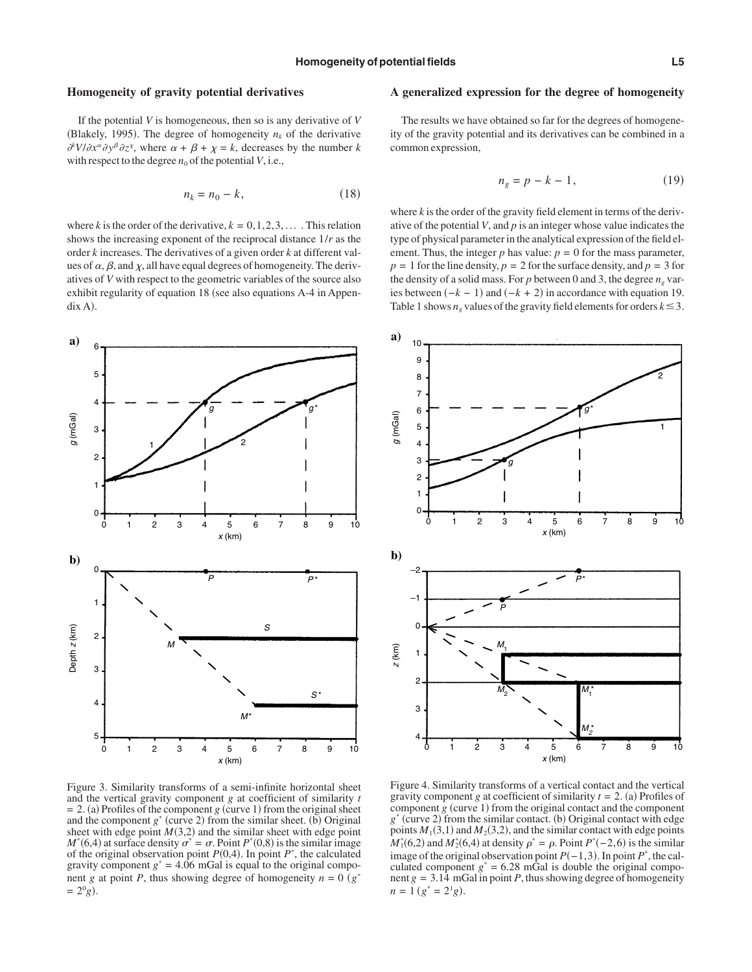### **Homogeneity of gravity potential derivatives**

If the potential *V* is homogeneous, then so is any derivative of *V* (Blakely, 1995). The degree of homogeneity  $n_k$  of the derivative  $\partial^k V/\partial x^\alpha \partial y^\beta \partial z^\gamma$ , where  $\alpha + \beta + \chi = k$ , decreases by the number *k* with respect to the degree  $n_0$  of the potential  $V$ , i.e.,

$$
n_k = n_0 - k,\tag{18}
$$

where *k* is the order of the derivative,  $k = 0, 1, 2, 3, \ldots$ . This relation shows the increasing exponent of the reciprocal distance 1/*r* as the order *k* increases. The derivatives of a given order *k* at different values of  $\alpha$ ,  $\beta$ , and  $\gamma$ , all have equal degrees of homogeneity. The derivatives of *V* with respect to the geometric variables of the source also exhibit regularity of equation 18 (see also equations A-4 in Appendix A).

## **a**) 5 4 g **g**  $g^*$ *g* (mGal) 3  $1/2$ 2 1  $\Omega$ 0 1 2 3 4 5 6 7 8 9 10 *x* (km) **b)** 0 *<sup>P</sup> P* \* 1 Depth *z* (km) Jepth z (km) 2 *S* 3 *S* \* 4 М 5 0 1 2 3 4 5 6 7 8 9 10 *x* (km)

Figure 3. Similarity transforms of a semi-infinite horizontal sheet and the vertical gravity component *g* at coefficient of similarity *t*  $= 2$ . (a) Profiles of the component *g* (curve 1) from the original sheet and the component  $g^*$  (curve 2) from the similar sheet. (b) Original sheet with edge point  $M(3,2)$  and the similar sheet with edge point  $M^*(6,4)$  at surface density  $\sigma^* = \sigma$ . Point  $P^*(0,8)$  is the similar image of the original observation point  $P(0,4)$ . In point  $P^*$ , the calculated gravity component  $g^* = 4.06$  mGal is equal to the original component *g* at point *P*, thus showing degree of homogeneity  $n = 0$  ( $g^*$  $= 2^{0}g$ .

### **A generalized expression for the degree of homogeneity**

The results we have obtained so far for the degrees of homogeneity of the gravity potential and its derivatives can be combined in a common expression,

$$
n_g = p - k - 1,\tag{19}
$$

where  $k$  is the order of the gravity field element in terms of the derivative of the potential *V*, and *p* is an integer whose value indicates the type of physical parameter in the analytical expression of the field element. Thus, the integer  $p$  has value:  $p = 0$  for the mass parameter,  $p = 1$  for the line density,  $p = 2$  for the surface density, and  $p = 3$  for the density of a solid mass. For  $p$  between 0 and 3, the degree  $n_e$  varies between  $(-k - 1)$  and  $(-k + 2)$  in accordance with equation 19. Table 1 shows  $n_e$  values of the gravity field elements for orders  $k \leq 3$ .



Figure 4. Similarity transforms of a vertical contact and the vertical gravity component *g* at coefficient of similarity  $t = 2$ . (a) Profiles of component  $g$  (curve 1) from the original contact and the component  $g^*$  (curve 2) from the similar contact. (b) Original contact with edge points  $M_1(3,1)$  and  $M_2(3,2)$ , and the similar contact with edge points  $M_1^*(6,2)$  and  $M_2^*(6,4)$  at density  $\rho^* = \rho$ . Point  $P^*(-2,6)$  is the similar image of the original observation point  $P(-1,3)$ . In point  $P^*$ , the calculated component  $g^* = 6.28$  mGal is double the original component  $g = 3.14$  mGal in point *P*, thus showing degree of homogeneity  $n = 1 (g^* = 2^1 g).$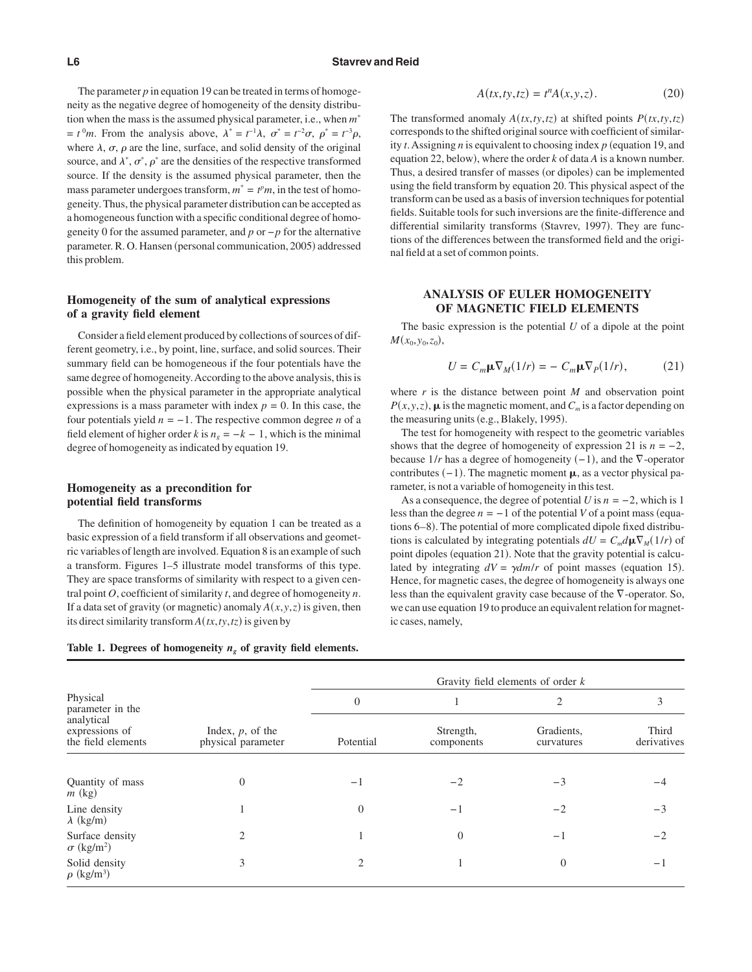#### **L6 Stavrev and Reid**

The parameter *p* in equation 19 can be treated in terms of homogeneity as the negative degree of homogeneity of the density distribution when the mass is the assumed physical parameter, i.e., when *m*\*  $t^0$ m. From the analysis above,  $\lambda^* = t^{-1}\lambda$ ,  $\sigma^* = t^{-2}\sigma$ ,  $\rho^* = t^{-3}\rho$ , where  $\lambda$ ,  $\sigma$ ,  $\rho$  are the line, surface, and solid density of the original source, and  $\lambda^*, \sigma^*, \rho^*$  are the densities of the respective transformed source. If the density is the assumed physical parameter, then the mass parameter undergoes transform,  $m^* = t^p m$ , in the test of homogeneity. Thus, the physical parameter distribution can be accepted as a homogeneous function with a specific conditional degree of homogeneity 0 for the assumed parameter, and *p* or −*p* for the alternative parameter. R. O. Hansen (personal communication, 2005) addressed this problem.

## **Homogeneity of the sum of analytical expressions of a gravity field element**

Consider a field element produced by collections of sources of different geometry, i.e., by point, line, surface, and solid sources. Their summary field can be homogeneous if the four potentials have the same degree of homogeneity.According to the above analysis, this is possible when the physical parameter in the appropriate analytical expressions is a mass parameter with index  $p = 0$ . In this case, the four potentials yield  $n = -1$ . The respective common degree *n* of a field element of higher order *k* is  $n_e = -k - 1$ , which is the minimal degree of homogeneity as indicated by equation 19.

## **Homogeneity as a precondition for potential field transforms**

The definition of homogeneity by equation 1 can be treated as a basic expression of a field transform if all observations and geometric variables of length are involved. Equation 8 is an example of such a transform. Figures 1–5 illustrate model transforms of this type. They are space transforms of similarity with respect to a given central point *O*, coefficient of similarity *t*, and degree of homogeneity *n*. If a data set of gravity (or magnetic) anomaly  $A(x, y, z)$  is given, then its direct similarity transform  $A(tx, ty, tz)$  is given by

## Table 1. Degrees of homogeneity  $n_g$  of gravity field elements.

$$
A(tx, ty, tz) = tn A(x, y, z).
$$
 (20)

The transformed anomaly  $A(tx, ty, tz)$  at shifted points  $P(tx, ty, tz)$ corresponds to the shifted original source with coefficient of similarity  $t$ . Assigning  $n$  is equivalent to choosing index  $p$  (equation 19, and equation 22, below), where the order  $k$  of data  $A$  is a known number. Thus, a desired transfer of masses (or dipoles) can be implemented using the field transform by equation 20. This physical aspect of the transform can be used as a basis of inversion techniques for potential fields. Suitable tools for such inversions are the finite-difference and differential similarity transforms (Stavrev, 1997). They are functions of the differences between the transformed field and the original field at a set of common points.

## **ANALYSIS OF EULER HOMOGENEITY OF MAGNETIC FIELD ELEMENTS**

The basic expression is the potential *U* of a dipole at the point  $M(x_0, y_0, z_0)$ ,

$$
U = C_m \mu \nabla_M (1/r) = - C_m \mu \nabla_P (1/r), \qquad (21)
$$

where  $r$  is the distance between point  $M$  and observation point  $P(x, y, z)$ ,  $\mu$  is the magnetic moment, and  $C_m$  is a factor depending on the measuring units (e.g., Blakely, 1995).

The test for homogeneity with respect to the geometric variables shows that the degree of homogeneity of expression 21 is  $n = -2$ , because  $1/r$  has a degree of homogeneity  $(-1)$ , and the  $\nabla$ -operator contributes  $(-1)$ . The magnetic moment  $\mu$ , as a vector physical parameter, is not a variable of homogeneity in this test.

As a consequence, the degree of potential *U* is  $n = -2$ , which is 1 less than the degree  $n = -1$  of the potential *V* of a point mass (equations 6–8). The potential of more complicated dipole fixed distributions is calculated by integrating potentials  $dU = C_m d\mu \nabla_M(1/r)$  of point dipoles (equation 21). Note that the gravity potential is calculated by integrating  $dV = \gamma dm/r$  of point masses (equation 15). Hence, for magnetic cases, the degree of homogeneity is always one less than the equivalent gravity case because of the  $\nabla$ -operator. So, we can use equation 19 to produce an equivalent relation for magnetic cases, namely,

|                                                    |                                           | Gravity field elements of order $k$ |                         |                          |                      |  |  |
|----------------------------------------------------|-------------------------------------------|-------------------------------------|-------------------------|--------------------------|----------------------|--|--|
| Physical<br>parameter in the                       |                                           | $\overline{0}$                      |                         | $\overline{2}$           | 3                    |  |  |
| analytical<br>expressions of<br>the field elements | Index, $p$ , of the<br>physical parameter | Potential                           | Strength,<br>components | Gradients,<br>curvatures | Third<br>derivatives |  |  |
| Quantity of mass<br>$m$ (kg)                       | $\Omega$                                  | $-1$                                | $-2$                    | $-3$                     |                      |  |  |
| Line density<br>$\lambda$ (kg/m)                   |                                           | $\theta$                            | $-1$                    | $-2$                     | $-3$                 |  |  |
| Surface density<br>$\sigma$ (kg/m <sup>2</sup> )   | $\mathfrak{D}$                            |                                     | $\Omega$                | -1                       | $-2$                 |  |  |
| Solid density<br>$\rho$ (kg/m <sup>3</sup> )       | 3                                         | 2                                   |                         | $\overline{0}$           | $-1$                 |  |  |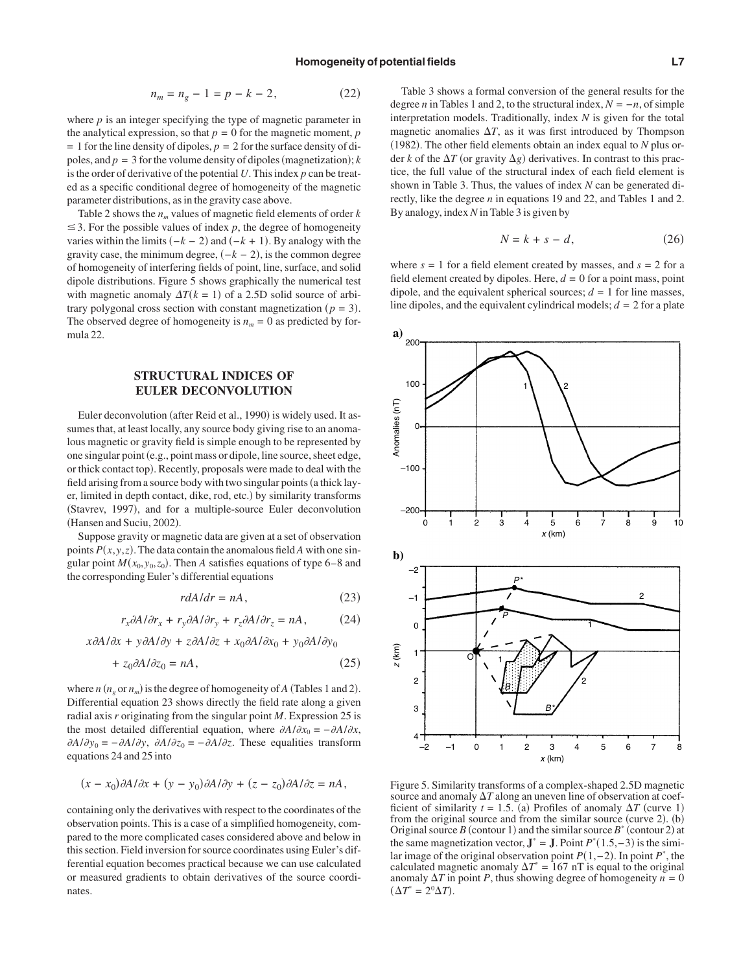$$
n_m = n_g - 1 = p - k - 2,\t(22)
$$

where *p* is an integer specifying the type of magnetic parameter in the analytical expression, so that  $p = 0$  for the magnetic moment,  $p$  $= 1$  for the line density of dipoles,  $p = 2$  for the surface density of dipoles, and  $p = 3$  for the volume density of dipoles (magnetization); *k* is the order of derivative of the potential *U*. This index *p* can be treated as a specific conditional degree of homogeneity of the magnetic parameter distributions, as in the gravity case above.

Table 2 shows the  $n_m$  values of magnetic field elements of order  $k$  $\leq$  3. For the possible values of index p, the degree of homogeneity varies within the limits  $(-k - 2)$  and  $(-k + 1)$ . By analogy with the gravity case, the minimum degree,  $(-k - 2)$ , is the common degree of homogeneity of interfering fields of point, line, surface, and solid dipole distributions. Figure 5 shows graphically the numerical test with magnetic anomaly  $\Delta T(k = 1)$  of a 2.5D solid source of arbitrary polygonal cross section with constant magnetization  $(p = 3)$ . The observed degree of homogeneity is  $n_m = 0$  as predicted by formula 22.

## **STRUCTURAL INDICES OF EULER DECONVOLUTION**

Euler deconvolution (after Reid et al., 1990) is widely used. It assumes that, at least locally, any source body giving rise to an anomalous magnetic or gravity field is simple enough to be represented by one singular point (e.g., point mass or dipole, line source, sheet edge, or thick contact top). Recently, proposals were made to deal with the field arising from a source body with two singular points (a thick layer, limited in depth contact, dike, rod, etc.) by similarity transforms (Stavrev, 1997), and for a multiple-source Euler deconvolution (Hansen and Suciu, 2002).

Suppose gravity or magnetic data are given at a set of observation points  $P(x, y, z)$ . The data contain the anomalous field A with one singular point  $M(x_0, y_0, z_0)$ . Then *A* satisfies equations of type 6–8 and the corresponding Euler's differential equations

$$
rdA/dr = nA, \t(23)
$$

$$
r_x \partial A/\partial r_x + r_y \partial A/\partial r_y + r_z \partial A/\partial r_z = nA, \qquad (24)
$$

 $x\partial A/\partial x + y\partial A/\partial y + z\partial A/\partial z + x_0\partial A/\partial x_0 + y_0\partial A/\partial y_0$ 

$$
+ z_0 \partial A / \partial z_0 = nA, \qquad (25)
$$

where  $n (n_g \text{ or } n_m)$  is the degree of homogeneity of *A* (Tables 1 and 2). Differential equation 23 shows directly the field rate along a given radial axis *r* originating from the singular point *M*. Expression 25 is the most detailed differential equation, where  $\partial A/\partial x_0 = -\partial A/\partial x$ ,  $\partial A/\partial y_0 = -\partial A/\partial y$ ,  $\partial A/\partial z_0 = -\partial A/\partial z$ . These equalities transform equations 24 and 25 into

$$
(x - x_0)\partial A/\partial x + (y - y_0)\partial A/\partial y + (z - z_0)\partial A/\partial z = nA,
$$

containing only the derivatives with respect to the coordinates of the observation points. This is a case of a simplified homogeneity, compared to the more complicated cases considered above and below in this section. Field inversion for source coordinates using Euler's differential equation becomes practical because we can use calculated or measured gradients to obtain derivatives of the source coordinates.

Table 3 shows a formal conversion of the general results for the degree *n* in Tables 1 and 2, to the structural index,  $N = -n$ , of simple interpretation models. Traditionally, index *N* is given for the total magnetic anomalies  $\Delta T$ , as it was first introduced by Thompson (1982). The other field elements obtain an index equal to  $N$  plus order *k* of the  $\Delta T$  (or gravity  $\Delta g$ ) derivatives. In contrast to this practice, the full value of the structural index of each field element is shown in Table 3. Thus, the values of index *N* can be generated directly, like the degree *n* in equations 19 and 22, and Tables 1 and 2. By analogy, index*N* in Table 3 is given by

$$
N = k + s - d,\tag{26}
$$

where  $s = 1$  for a field element created by masses, and  $s = 2$  for a field element created by dipoles. Here,  $d = 0$  for a point mass, point dipole, and the equivalent spherical sources;  $d = 1$  for line masses, line dipoles, and the equivalent cylindrical models;  $d = 2$  for a plate



Figure 5. Similarity transforms of a complex-shaped 2.5D magnetic source and anomaly  $\Delta T$  along an uneven line of observation at coefficient of similarity  $t = 1.5$ . (a) Profiles of anomaly  $\Delta T$  (curve 1) from the original source and from the similar source (curve  $2$ ). (b) Original source *B* (contour 1) and the similar source  $B^*$  (contour 2) at the same magnetization vector,  $J^* = J$ . Point  $P^*(1.5, -3)$  is the similar image of the original observation point *P*(1,−2). In point *P*<sup>\*</sup>, the calculated magnetic anomaly  $\Delta T^* = 167$  nT is equal to the original anomaly  $\Delta T$  in point *P*, thus showing degree of homogeneity  $n = 0$  $(\Delta T^* = 2^0 \Delta T).$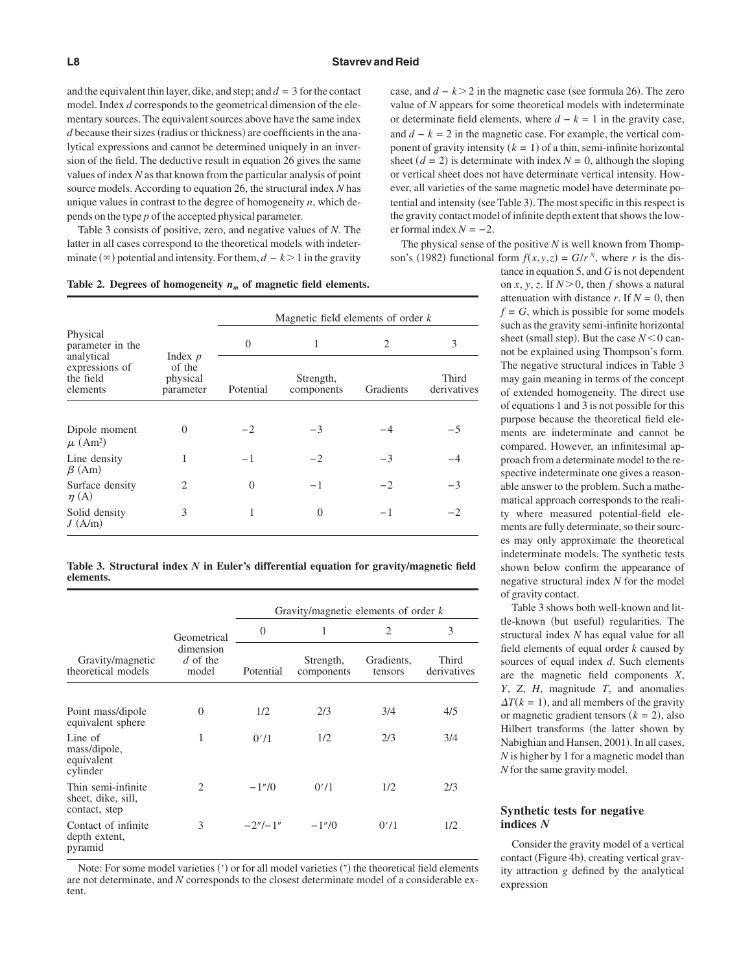and the equivalent thin layer, dike, and step; and  $d = 3$  for the contact model. Index *d* corresponds to the geometrical dimension of the elementary sources. The equivalent sources above have the same index *d* because their sizes (radius or thickness) are coefficients in the analytical expressions and cannot be determined uniquely in an inversion of the field. The deductive result in equation 26 gives the same values of index *N* as that known from the particular analysis of point source models. According to equation 26, the structural index *N* has unique values in contrast to the degree of homogeneity *n*, which depends on the type *p* of the accepted physical parameter.

Table 3 consists of positive, zero, and negative values of *N*. The latter in all cases correspond to the theoretical models with indeterminate  $(\infty)$  potential and intensity. For them,  $d - k > 1$  in the gravity

| Table 2. Degrees of homogeneity $n_m$ of magnetic field elements. |  |  |  |  |
|-------------------------------------------------------------------|--|--|--|--|
|-------------------------------------------------------------------|--|--|--|--|

|                                                       |                                              | Magnetic field elements of order $k$ |                         |           |                      |  |  |
|-------------------------------------------------------|----------------------------------------------|--------------------------------------|-------------------------|-----------|----------------------|--|--|
| Physical<br>parameter in the                          | Index $p$<br>of the<br>physical<br>parameter | 1<br>$\theta$                        |                         | 2         | 3                    |  |  |
| analytical<br>expressions of<br>the field<br>elements |                                              | Potential                            | Strength,<br>components | Gradients | Third<br>derivatives |  |  |
| Dipole moment<br>$\mu$ (Am <sup>2</sup> )             | $\Omega$                                     | $-2$                                 | $-3$                    | -4        | $-5$                 |  |  |
| Line density<br>$\beta$ (Am)                          |                                              | - 1                                  | $-2$                    | $-3$      |                      |  |  |
| Surface density<br>$\eta(A)$                          | $\mathcal{D}_{\mathcal{A}}$                  | $\Omega$                             | $-1$                    | $-2$      | $-3$                 |  |  |
| Solid density<br>J(A/m)                               | 3                                            | 1                                    | $\theta$                | -1        | $-2$                 |  |  |

**Table 3. Structural index** *N* **in Euler's differential equation for gravity/magnetic field elements.**

|                                                           |                                  | Gravity/magnetic elements of order $k$ |                         |                       |                      |  |  |  |
|-----------------------------------------------------------|----------------------------------|----------------------------------------|-------------------------|-----------------------|----------------------|--|--|--|
|                                                           | Geometrical                      | $\theta$                               | 1                       | $\overline{2}$        | 3                    |  |  |  |
| Gravity/magnetic<br>theoretical models                    | dimension<br>$d$ of the<br>model | Potential                              | Strength,<br>components | Gradients,<br>tensors | Third<br>derivatives |  |  |  |
|                                                           |                                  |                                        |                         |                       |                      |  |  |  |
| Point mass/dipole<br>equivalent sphere                    | $\overline{0}$                   | 1/2                                    | 2/3                     | 3/4                   | 4/5                  |  |  |  |
| Line of<br>mass/dipole,<br>equivalent<br>cylinder         | 1                                | 0'/1                                   | 1/2                     | 2/3                   | 3/4                  |  |  |  |
| Thin semi-infinite<br>sheet, dike, sill,<br>contact, step | 2                                | $-1''/0$                               | 0'/1                    | 1/2                   | 2/3                  |  |  |  |
| Contact of infinite<br>depth extent,<br>pyramid           | 3                                | $-2''/-1''$                            | $-1''/0$                | 0'/1                  | 1/2                  |  |  |  |

Note: For some model varieties (') or for all model varieties (") the theoretical field elements are not determinate, and *N* corresponds to the closest determinate model of a considerable extent.

case, and  $d - k > 2$  in the magnetic case (see formula 26). The zero value of *N* appears for some theoretical models with indeterminate or determinate field elements, where  $d - k = 1$  in the gravity case, and  $d - k = 2$  in the magnetic case. For example, the vertical component of gravity intensity  $(k = 1)$  of a thin, semi-infinite horizontal sheet  $(d = 2)$  is determinate with index  $N = 0$ , although the sloping or vertical sheet does not have determinate vertical intensity. However, all varieties of the same magnetic model have determinate potential and intensity (see Table 3). The most specific in this respect is the gravity contact model of infinite depth extent that shows the lower formal index  $N = -2$ .

The physical sense of the positive *N* is well known from Thompson's (1982) functional form  $f(x, y, z) = G/r^N$ , where *r* is the dis-

> tance in equation 5, and *G* is not dependent on *x*, *y*, *z*. If  $N > 0$ , then *f* shows a natural attenuation with distance  $r$ . If  $N = 0$ , then  $f = G$ , which is possible for some models such as the gravity semi-infinite horizontal sheet (small step). But the case  $N < 0$  cannot be explained using Thompson's form. The negative structural indices in Table 3 may gain meaning in terms of the concept of extended homogeneity. The direct use of equations 1 and 3 is not possible for this purpose because the theoretical field elements are indeterminate and cannot be compared. However, an infinitesimal approach from a determinate model to the respective indeterminate one gives a reasonable answer to the problem. Such a mathematical approach corresponds to the reality where measured potential-field elements are fully determinate, so their sources may only approximate the theoretical indeterminate models. The synthetic tests shown below confirm the appearance of negative structural index *N* for the model of gravity contact.

> Table 3 shows both well-known and little-known (but useful) regularities. The structural index *N* has equal value for all field elements of equal order *k* caused by sources of equal index *d*. Such elements are the magnetic field components *X*, *Y*, *Z*, *H*, magnitude *T*, and anomalies  $\Delta T(k = 1)$ , and all members of the gravity or magnetic gradient tensors  $(k = 2)$ , also Hilbert transforms (the latter shown by Nabighian and Hansen, 2001). In all cases, *N* is higher by 1 for a magnetic model than *N* for the same gravity model.

## **Synthetic tests for negative indices** *N*

Consider the gravity model of a vertical contact (Figure 4b), creating vertical gravity attraction *g* defined by the analytical expression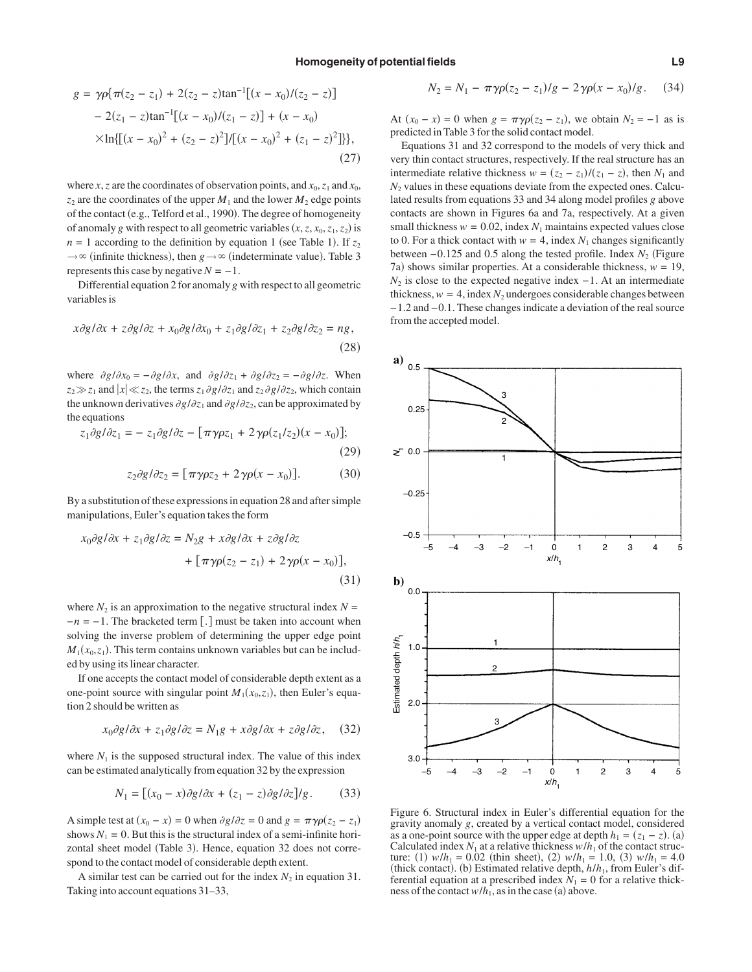$$
g = \gamma \rho \{ \pi(z_2 - z_1) + 2(z_2 - z) \tan^{-1}[(x - x_0)/(z_2 - z)]
$$
  
- 2(z\_1 - z)tan<sup>-1</sup>[(x - x\_0)/(z\_1 - z)] + (x - x\_0)  
×ln{[(x - x\_0)<sup>2</sup> + (z\_2 - z)<sup>2</sup>]/[(x - x\_0)<sup>2</sup> + (z\_1 - z)<sup>2</sup>]}}, (27)

where *x*, *z* are the coordinates of observation points, and  $x_0$ ,  $z_1$  and  $x_0$ ,  $z_2$  are the coordinates of the upper  $M_1$  and the lower  $M_2$  edge points of the contact (e.g., Telford et al., 1990). The degree of homogeneity of anomaly *g* with respect to all geometric variables  $(x, z, x_0, z_1, z_2)$  is  $n = 1$  according to the definition by equation 1 (see Table 1). If  $z_2$  $\rightarrow \infty$  (infinite thickness), then *g*  $\rightarrow \infty$  (indeterminate value). Table 3 represents this case by negative  $N = -1$ .

Differential equation 2 for anomaly *g* with respect to all geometric variables is

$$
x\partial g/\partial x + z\partial g/\partial z + x_0\partial g/\partial x_0 + z_1\partial g/\partial z_1 + z_2\partial g/\partial z_2 = ng,
$$
\n(28)

where  $\partial g/\partial x_0 = -\partial g/\partial x$ , and  $\partial g/\partial z_1 + \partial g/\partial z_2 = -\partial g/\partial z$ . When  $z_2 \gg z_1$  and  $|x| \ll z_2$ , the terms  $z_1 \partial g / \partial z_1$  and  $z_2 \partial g / \partial z_2$ , which contain the unknown derivatives  $\partial g / \partial z_1$  and  $\partial g / \partial z_2$ , can be approximated by the equations

$$
z_1 \partial g/\partial z_1 = - z_1 \partial g/\partial z - [\pi \gamma \rho z_1 + 2 \gamma \rho (z_1/z_2)(x - x_0)];
$$
\n(29)

$$
z_2 \partial g / \partial z_2 = [\pi \gamma \rho z_2 + 2 \gamma \rho (x - x_0)]. \tag{30}
$$

By a substitution of these expressions in equation 28 and after simple manipulations, Euler's equation takes the form

$$
x_0 \partial g/\partial x + z_1 \partial g/\partial z = N_2 g + x \partial g/\partial x + z \partial g/\partial z
$$

$$
+ \left[ \pi \gamma \rho (z_2 - z_1) + 2 \gamma \rho (x - x_0) \right],
$$
(31)

where  $N_2$  is an approximation to the negative structural index  $N =$  $-n = -1$ . The bracketed term [.] must be taken into account when solving the inverse problem of determining the upper edge point  $M_1(x_0, z_1)$ . This term contains unknown variables but can be included by using its linear character.

If one accepts the contact model of considerable depth extent as a one-point source with singular point  $M_1(x_0, z_1)$ , then Euler's equation 2 should be written as

$$
x_0 \partial g / \partial x + z_1 \partial g / \partial z = N_1 g + x \partial g / \partial x + z \partial g / \partial z, \quad (32)
$$

where  $N_1$  is the supposed structural index. The value of this index can be estimated analytically from equation 32 by the expression

$$
N_1 = \left[ (x_0 - x)\partial g/\partial x + (z_1 - z)\partial g/\partial z \right] / g. \tag{33}
$$

A simple test at  $(x_0 - x) = 0$  when  $\partial g / \partial z = 0$  and  $g = \pi \gamma \rho (z_2 - z_1)$ shows  $N_1 = 0$ . But this is the structural index of a semi-infinite horizontal sheet model (Table 3). Hence, equation 32 does not correspond to the contact model of considerable depth extent.

A similar test can be carried out for the index  $N_2$  in equation 31. Taking into account equations 31–33,

$$
N_2 = N_1 - \pi \gamma \rho (z_2 - z_1) / g - 2 \gamma \rho (x - x_0) / g. \tag{34}
$$

At  $(x_0 - x) = 0$  when  $g = \pi \gamma \rho (z_2 - z_1)$ , we obtain  $N_2 = -1$  as is predicted in Table 3 for the solid contact model.

Equations 31 and 32 correspond to the models of very thick and very thin contact structures, respectively. If the real structure has an intermediate relative thickness  $w = (z_2 - z_1)/(z_1 - z)$ , then  $N_1$  and  $N_2$  values in these equations deviate from the expected ones. Calculated results from equations 33 and 34 along model profiles *g* above contacts are shown in Figures 6a and 7a, respectively. At a given small thickness  $w = 0.02$ , index  $N_1$  maintains expected values close to 0. For a thick contact with  $w = 4$ , index  $N_1$  changes significantly between −0.125 and 0.5 along the tested profile. Index *N*<sub>2</sub> (Figure 7a) shows similar properties. At a considerable thickness,  $w = 19$ ,  $N_2$  is close to the expected negative index  $-1$ . At an intermediate thickness,  $w = 4$ , index  $N_2$  undergoes considerable changes between −1.2 and −0.1. These changes indicate a deviation of the real source from the accepted model.



Figure 6. Structural index in Euler's differential equation for the gravity anomaly *g*, created by a vertical contact model, considered as a one-point source with the upper edge at depth  $h_1 = (z_1 - z)$ . (a) Calculated index  $N_1$  at a relative thickness  $w/h_1$  of the contact structure: (1)  $w/h_1 = 0.02$  (thin sheet), (2)  $w/h_1 = 1.0$ , (3)  $w/h_1 = 4.0$ (thick contact). (b) Estimated relative depth,  $h/h_1$ , from Euler's differential equation at a prescribed index  $N_1 = 0$  for a relative thickness of the contact  $w/h_1$ , as in the case (a) above.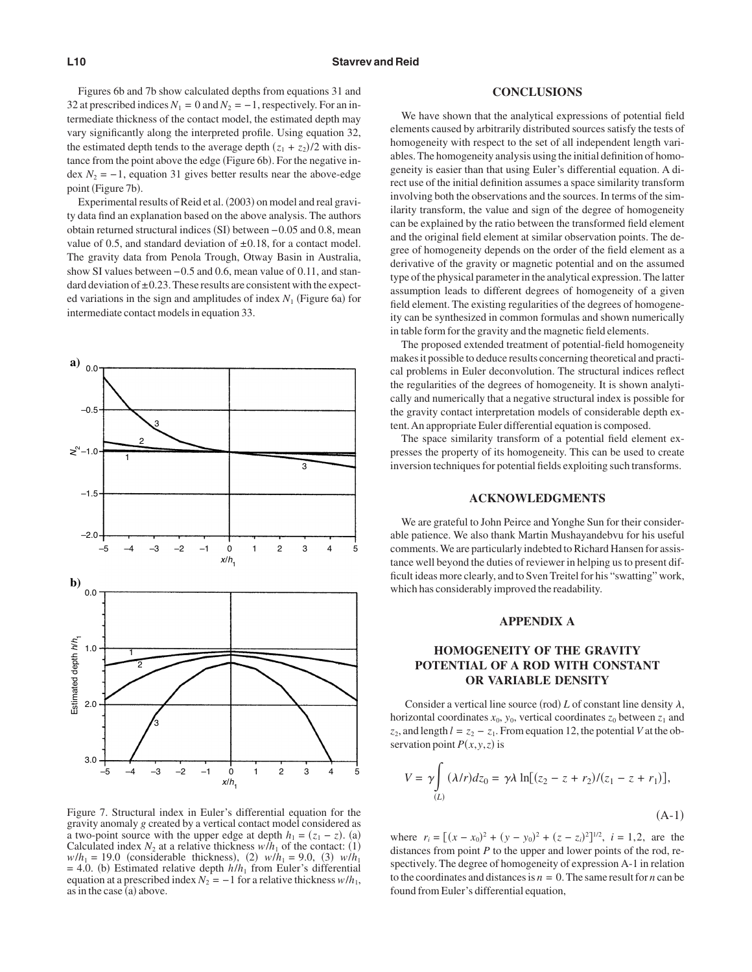Figures 6b and 7b show calculated depths from equations 31 and 32 at prescribed indices  $N_1 = 0$  and  $N_2 = -1$ , respectively. For an intermediate thickness of the contact model, the estimated depth may vary significantly along the interpreted profile. Using equation 32, the estimated depth tends to the average depth  $(z_1 + z_2)/2$  with distance from the point above the edge (Figure 6b). For the negative index  $N_2 = -1$ , equation 31 gives better results near the above-edge point (Figure 7b).

Experimental results of Reid et al. (2003) on model and real gravity data find an explanation based on the above analysis. The authors obtain returned structural indices (SI) between –0.05 and 0.8, mean value of 0.5, and standard deviation of  $\pm$ 0.18, for a contact model. The gravity data from Penola Trough, Otway Basin in Australia, show SI values between −0.5 and 0.6, mean value of 0.11, and standard deviation of  $\pm 0.23$ . These results are consistent with the expected variations in the sign and amplitudes of index  $N_1$  (Figure 6a) for intermediate contact models in equation 33.



Figure 7. Structural index in Euler's differential equation for the gravity anomaly *g* created by a vertical contact model considered as a two-point source with the upper edge at depth  $h_1 = (z_1 - z)$ . (a) Calculated index  $N_2$  at a relative thickness  $w/h_1$  of the contact: (1)  $w/h_1 = 19.0$  (considerable thickness), (2)  $w/h_1 = 9.0$ , (3)  $w/h_1$  $=$  4.0. (b) Estimated relative depth  $h/h_1$  from Euler's differential equation at a prescribed index  $N_2 = -1$  for a relative thickness  $w/h_1$ , as in the case (a) above.

#### **CONCLUSIONS**

We have shown that the analytical expressions of potential field elements caused by arbitrarily distributed sources satisfy the tests of homogeneity with respect to the set of all independent length variables. The homogeneity analysis using the initial definition of homogeneity is easier than that using Euler's differential equation. A direct use of the initial definition assumes a space similarity transform involving both the observations and the sources. In terms of the similarity transform, the value and sign of the degree of homogeneity can be explained by the ratio between the transformed field element and the original field element at similar observation points. The degree of homogeneity depends on the order of the field element as a derivative of the gravity or magnetic potential and on the assumed type of the physical parameter in the analytical expression. The latter assumption leads to different degrees of homogeneity of a given field element. The existing regularities of the degrees of homogeneity can be synthesized in common formulas and shown numerically in table form for the gravity and the magnetic field elements.

The proposed extended treatment of potential-field homogeneity makes it possible to deduce results concerning theoretical and practical problems in Euler deconvolution. The structural indices reflect the regularities of the degrees of homogeneity. It is shown analytically and numerically that a negative structural index is possible for the gravity contact interpretation models of considerable depth extent.An appropriate Euler differential equation is composed.

The space similarity transform of a potential field element expresses the property of its homogeneity. This can be used to create inversion techniques for potential fields exploiting such transforms.

#### **ACKNOWLEDGMENTS**

We are grateful to John Peirce and Yonghe Sun for their considerable patience. We also thank Martin Mushayandebvu for his useful comments.We are particularly indebted to Richard Hansen for assistance well beyond the duties of reviewer in helping us to present difficult ideas more clearly, and to Sven Treitel for his "swatting" work, which has considerably improved the readability.

#### **APPENDIX A**

## **HOMOGENEITY OF THE GRAVITY POTENTIAL OF A ROD WITH CONSTANT OR VARIABLE DENSITY**

Consider a vertical line source (rod)  $L$  of constant line density  $\lambda$ , horizontal coordinates  $x_0$ ,  $y_0$ , vertical coordinates  $z_0$  between  $z_1$  and *z*<sub>2</sub>, and length  $l = z_2 - z_1$ . From equation 12, the potential *V* at the observation point  $P(x, y, z)$  is

$$
V = \gamma \int_{(L)} (\lambda/r) dz_0 = \gamma \lambda \ln[(z_2 - z + r_2)/(z_1 - z + r_1)],
$$
\n(A-1)

where  $r_i = [(x - x_0)^2 + (y - y_0)^2 + (z - z_i)^2]^{1/2}$ ,  $i = 1, 2$ , are the distances from point *P* to the upper and lower points of the rod, respectively. The degree of homogeneity of expression A-1 in relation to the coordinates and distances is  $n = 0$ . The same result for *n* can be found from Euler's differential equation,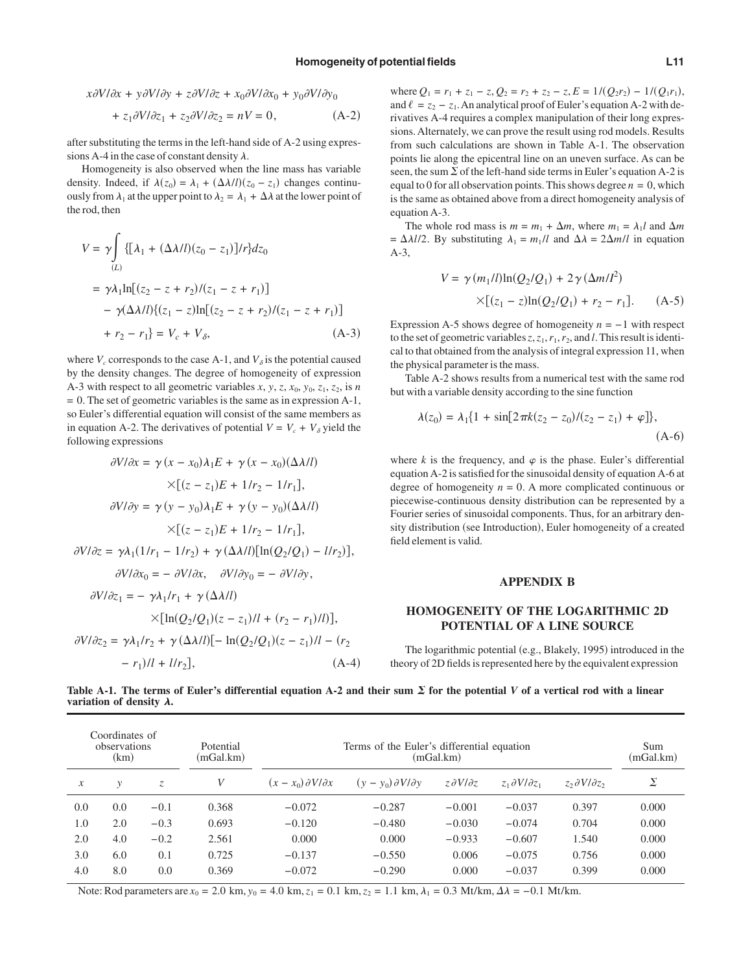$$
x\partial V/\partial x + y\partial V/\partial y + z\partial V/\partial z + x_0\partial V/\partial x_0 + y_0\partial V/\partial y_0
$$
  
+ 
$$
z_1\partial V/\partial z_1 + z_2\partial V/\partial z_2 = nV = 0,
$$
 (A-2)

after substituting the terms in the left-hand side of A-2 using expressions A-4 in the case of constant density  $\lambda$ .

Homogeneity is also observed when the line mass has variable density. Indeed, if  $\lambda(z_0) = \lambda_1 + (\Delta \lambda/l)(z_0 - z_1)$  changes continuously from  $\lambda_1$  at the upper point to  $\lambda_2 = \lambda_1 + \Delta \lambda$  at the lower point of the rod, then

$$
V = \gamma \int \{ [\lambda_1 + (\Delta \lambda / l)(z_0 - z_1)] / r \} dz_0
$$
  
=  $\gamma \lambda_1 \ln[(z_2 - z + r_2) / (z_1 - z + r_1)]$   
-  $\gamma (\Delta \lambda / l) \{ (z_1 - z) \ln[(z_2 - z + r_2) / (z_1 - z + r_1)]$   
+  $r_2 - r_1 \} = V_c + V_{\delta},$  (A-3)

where  $V_c$  corresponds to the case A-1, and  $V_{\delta}$  is the potential caused by the density changes. The degree of homogeneity of expression A-3 with respect to all geometric variables  $x$ ,  $y$ ,  $z$ ,  $x_0$ ,  $y_0$ ,  $z_1$ ,  $z_2$ , is *n*  $= 0$ . The set of geometric variables is the same as in expression A-1, so Euler's differential equation will consist of the same members as in equation A-2. The derivatives of potential  $V = V_c + V_\delta$  yield the following expressions

$$
\frac{\partial V}{\partial x} = \gamma (x - x_0) \lambda_1 E + \gamma (x - x_0) (\Delta \lambda / l)
$$

$$
\times [(z - z_1)E + 1/r_2 - 1/r_1],
$$

$$
\frac{\partial V}{\partial y} = \gamma (y - y_0) \lambda_1 E + \gamma (y - y_0) (\Delta \lambda / l)
$$

$$
\times [(z - z_1)E + 1/r_2 - 1/r_1],
$$

$$
\frac{\partial V}{\partial z} = \gamma \lambda_1 (1/r_1 - 1/r_2) + \gamma (\Delta \lambda / l) [\ln(Q_2/Q_1) - l/r_2)],
$$

$$
\frac{\partial V}{\partial x_0} = -\frac{\partial V}{\partial x}, \quad \frac{\partial V}{\partial y_0} = -\frac{\partial V}{\partial y},
$$

$$
\frac{\partial V}{\partial z_1} = -\frac{\gamma \lambda_1}{r_1} + \gamma (\Delta \lambda / l)
$$

$$
\times [\ln(Q_2/Q_1)(z - z_1) / l + (r_2 - r_1) / l)],
$$

$$
\frac{\partial V}{\partial z_2} = \frac{\gamma \lambda_1}{r_2} + \gamma (\Delta \lambda / l) [-\ln(Q_2/Q_1)(z - z_1) / l - (r_2 - r_1) / l + l/r_2],
$$

$$
(A-4)
$$

where  $Q_1 = r_1 + z_1 - z$ ,  $Q_2 = r_2 + z_2 - z$ ,  $E = 1/(Q_2 r_2) - 1/(Q_1 r_1)$ , and  $\ell = z_2 - z_1$ . An analytical proof of Euler's equation A-2 with derivatives A-4 requires a complex manipulation of their long expressions. Alternately, we can prove the result using rod models. Results from such calculations are shown in Table A-1. The observation points lie along the epicentral line on an uneven surface. As can be seen, the sum  $\Sigma$  of the left-hand side terms in Euler's equation A-2 is equal to 0 for all observation points. This shows degree  $n = 0$ , which is the same as obtained above from a direct homogeneity analysis of equation A-3.

The whole rod mass is  $m = m_1 + \Delta m$ , where  $m_1 = \lambda_1 l$  and  $\Delta m$  $= \Delta \lambda l/2$ . By substituting  $\lambda_1 = m_1/l$  and  $\Delta \lambda = 2\Delta m/l$  in equation A-3,

$$
V = \gamma (m_1/l) \ln(Q_2/Q_1) + 2\gamma (\Delta m/l^2)
$$
  
×[(z<sub>1</sub> - z)ln(Q<sub>2</sub>/Q<sub>1</sub>) + r<sub>2</sub> - r<sub>1</sub>]. (A-5)

Expression A-5 shows degree of homogeneity *n* = −1 with respect to the set of geometric variables  $z$ ,  $z_1$ ,  $r_1$ ,  $r_2$ , and *l*. This result is identical to that obtained from the analysis of integral expression 11, when the physical parameter is the mass.

Table A-2 shows results from a numerical test with the same rod but with a variable density according to the sine function

$$
\lambda(z_0) = \lambda_1 \{ 1 + \sin[2\pi k(z_2 - z_0)/(z_2 - z_1) + \varphi] \},\tag{A-6}
$$

where *k* is the frequency, and  $\varphi$  is the phase. Euler's differential equation A-2 is satisfied for the sinusoidal density of equation A-6 at degree of homogeneity  $n = 0$ . A more complicated continuous or piecewise-continuous density distribution can be represented by a Fourier series of sinusoidal components. Thus, for an arbitrary density distribution (see Introduction), Euler homogeneity of a created field element is valid.

#### **APPENDIX B**

## **HOMOGENEITY OF THE LOGARITHMIC 2D POTENTIAL OF A LINE SOURCE**

The logarithmic potential (e.g., Blakely, 1995) introduced in the theory of 2D fields is represented here by the equivalent expression

Table A-1. The terms of Euler's differential equation A-2 and their sum  $\Sigma$  for the potential *V* of a vertical rod with a linear **variation of density**  $\lambda$ **.** 

| (km) |        | Potential<br>(mGal.km)         | Terms of the Euler's differential equation<br>(mGal.km) |                                   |                           |                               | Sum<br>(mGal.km)              |       |
|------|--------|--------------------------------|---------------------------------------------------------|-----------------------------------|---------------------------|-------------------------------|-------------------------------|-------|
| v    | Z.     | V                              | $(x - x_0) \partial V/\partial x$                       | $(v - v_0) \partial V/\partial v$ | $z \partial V/\partial z$ | $z_1 \partial V/\partial z_1$ | $z_2 \partial V/\partial z_2$ | Σ     |
| 0.0  | $-0.1$ | 0.368                          | $-0.072$                                                | $-0.287$                          | $-0.001$                  | $-0.037$                      | 0.397                         | 0.000 |
| 2.0  | $-0.3$ | 0.693                          | $-0.120$                                                | $-0.480$                          | $-0.030$                  | $-0.074$                      | 0.704                         | 0.000 |
| 4.0  | $-0.2$ | 2.561                          | 0.000                                                   | 0.000                             | $-0.933$                  | $-0.607$                      | 1.540                         | 0.000 |
| 6.0  | 0.1    | 0.725                          | $-0.137$                                                | $-0.550$                          | 0.006                     | $-0.075$                      | 0.756                         | 0.000 |
| 8.0  | 0.0    | 0.369                          | $-0.072$                                                | $-0.290$                          | 0.000                     | $-0.037$                      | 0.399                         | 0.000 |
|      |        | Coordinates of<br>observations |                                                         |                                   |                           |                               |                               |       |

Note: Rod parameters are  $x_0 = 2.0 \text{ km}, y_0 = 4.0 \text{ km}, z_1 = 0.1 \text{ km}, z_2 = 1.1 \text{ km}, \lambda_1 = 0.3 \text{ Mt/km}, \Delta\lambda = -0.1 \text{ Mt/km}.$